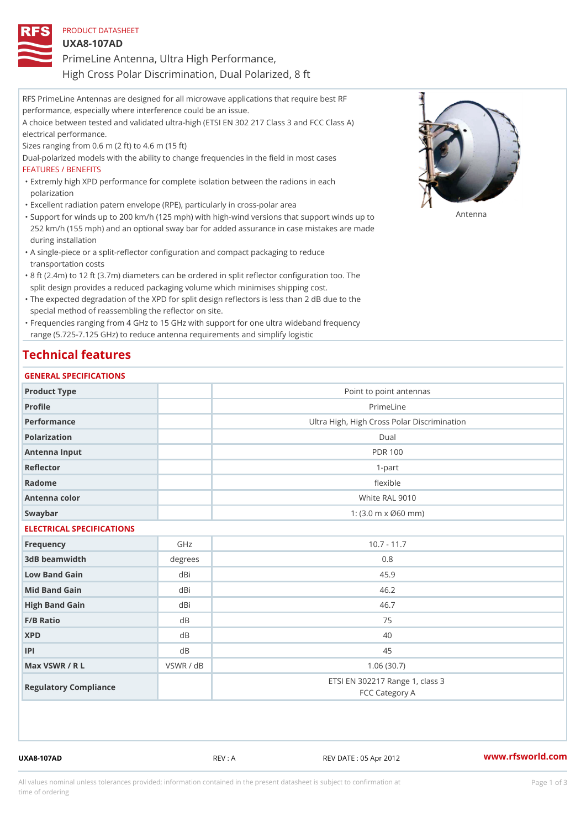| PRODUCT DATASHEET                                     |  |
|-------------------------------------------------------|--|
| U X A 8 - 1 0 7 A D                                   |  |
| PrimeLine Antenna, Ultra High Performance,            |  |
| High Cross Polar Discrimination, Dual Polarized, 8 ft |  |

RFS PrimeLine Antennas are designed for all microwave applications that require best RF performance, especially where interference could be an issue. A choice between tested and validated ultra-high (ETSI EN 302 217 Class 3 and FCC Class A) electrical performance. Sizes ranging from 0.6 m (2 ft) to 4.6 m (15 ft) Dual-polarized models with the ability to change frequencies in the field in most cases FEATURES / BENEFITS Extremly high XPD performance for complete isolation between the radions in each " polarization "Excellent radiation patern envelope (RPE), particularly in cross-polar area "Support for winds up to 200 km/h (125 mph) with high-wind versions that support for wands up to 252 km/h (155 mph) and an optional sway bar for added assurance in case mistakes are made during installation

- A single-piece or a split-reflector configuration and compact packaging to reduce " transportation costs
- 8 ft (2.4m) to 12 ft (3.7m) diameters can be ordered in split reflector configuration too. The " split design provides a reduced packaging volume which minimises shipping cost.
- "The expected degradation of the XPD for split design reflectors is less than 2 dB due to the special method of reassembling the reflector on site.

Frequencies ranging from 4 GHz to 15 GHz with support for one ultra wideband frequency " range (5.725-7.125 GHz) to reduce antenna requirements and simplify logistic

## Technical features

#### GENERAL SPECIFICATIONS

| Product Type              |           | Point to point antennas                                 |  |  |  |
|---------------------------|-----------|---------------------------------------------------------|--|--|--|
| Profile                   |           | PrimeLine                                               |  |  |  |
| Performance               |           | Ultra High, High Cross Polar Discrimination             |  |  |  |
| Polarization              |           | Dual                                                    |  |  |  |
| Antenna Input             |           | <b>PDR 100</b>                                          |  |  |  |
| Reflector                 |           | $1 - p$ art                                             |  |  |  |
| Radome                    |           | flexible                                                |  |  |  |
| Antenna color             |           | White RAL 9010                                          |  |  |  |
| Swaybar                   |           | 1: $(3.0 \, \text{m} \times \emptyset 60 \, \text{mm})$ |  |  |  |
| ELECTRICAL SPECIFICATIONS |           |                                                         |  |  |  |
| Frequency                 | GHz       | $10.7 - 11.7$                                           |  |  |  |
| 3dB beamwidth             | degrees   | 0.8                                                     |  |  |  |
| Low Band Gain             | dBi       | 45.9                                                    |  |  |  |
| Mid Band Gain             | dBi       | 46.2                                                    |  |  |  |
| High Band Gain            | dBi       | 46.7                                                    |  |  |  |
| F/B Ratio                 | d B       | 75                                                      |  |  |  |
| <b>XPD</b>                | d B       | 40                                                      |  |  |  |
| P                         | d B       | 45                                                      |  |  |  |
| Max VSWR / R L            | VSWR / dB | 1.06(30.7)                                              |  |  |  |
| Regulatory Compliance     |           | ETSI EN 302217 Range 1, class 3<br>FCC Category A       |  |  |  |

UXA8-107AD REV : A REV DATE : 05 Apr 2012 [www.](https://www.rfsworld.com)rfsworld.com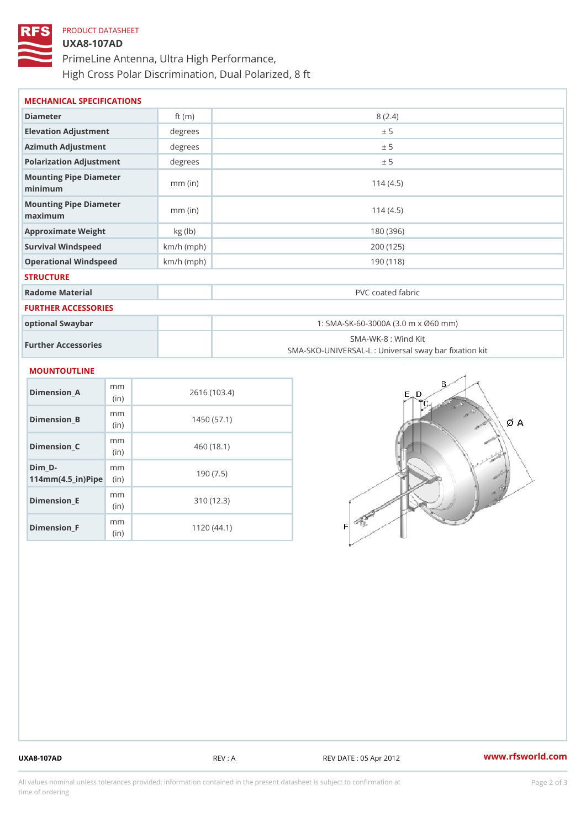# PRODUCT DATASHEET UXA8-107AD PrimeLine Antenna, Ultra High Performance, High Cross Polar Discrimination, Dual Polarized, 8 ft

| MECHANICAL SPECIFICATIONS                |              |                                                                         |  |  |
|------------------------------------------|--------------|-------------------------------------------------------------------------|--|--|
| Diameter                                 | ft $(m)$     | 8(2.4)                                                                  |  |  |
| Elevation Adjustment                     | degree:      | ± 5                                                                     |  |  |
| Azimuth Adjustment                       | degree:      | ± 5                                                                     |  |  |
| Polarization Adjustment                  | degree:      | ± 5                                                                     |  |  |
| Mounting Pipe Diameter<br>minimum        | $mm$ (in)    | 114(4.5)                                                                |  |  |
| Mounting Pipe Diameter<br>maximum        | $mm$ (in)    | 114(4.5)                                                                |  |  |
| Approximate Weight                       | kg(lb)       | 180 (396)                                                               |  |  |
| Survival Windspeed                       | $km/h$ (mph) | 200 (125)                                                               |  |  |
| Operational Windspeed                    | $km/h$ (mph) | 190 (118)                                                               |  |  |
| <b>STRUCTURE</b>                         |              |                                                                         |  |  |
| Radome Material                          |              | PVC coated fabric                                                       |  |  |
| FURTHER ACCESSORIES                      |              |                                                                         |  |  |
| optional Swaybar                         |              | 1: SMA-SK-60-3000A (3.0 m x Ø60 mm)                                     |  |  |
| Further Accessories                      |              | SMA-WK-8: Wind Kit<br>SMA-SKO-UNIVERSAL-L : Universal sway bar fixation |  |  |
| MOUNTOUTLINE                             |              |                                                                         |  |  |
| m <sub>m</sub><br>$Dimension_A$<br>(i n) |              | 2616 (103.4)                                                            |  |  |
| m <sub>m</sub><br>Dimension_B<br>(in)    |              | 1450(57.1)                                                              |  |  |
|                                          |              |                                                                         |  |  |

Dimension\_C

Dimension\_E

Dimension\_F

 $114$  m m (4.5 \_ i r )  $\sqrt{$  ii p  $\ge$ 

Dim\_D-

mm (in)

m m

mm (in)

m<sub>m</sub> (in)

460 (18.1)

190 (7.5)

310 (12.3)

1120 (44.1)

UXA8-107AD REV : A REV DATE : 05 Apr 2012 [www.](https://www.rfsworld.com)rfsworld.com